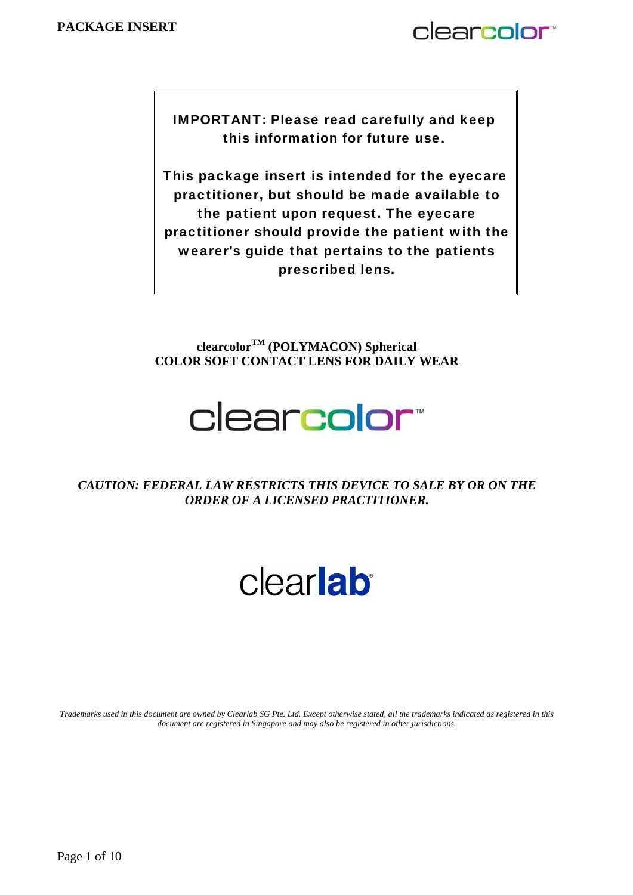# clearcolor<sup>®</sup>

IMPORTANT: Please read carefully and keep this information for future use.

This package insert is intended for the eyecare practitioner, but should be made available to the patient upon request. The eyecare practitioner should provide the patient with the wearer's guide that pertains to the patients prescribed lens.

**clearcolorTM (POLYMACON) Spherical COLOR SOFT CONTACT LENS FOR DAILY WEAR** 

# clearcolor<sup>\*</sup>

*CAUTION: FEDERAL LAW RESTRICTS THIS DEVICE TO SALE BY OR ON THE ORDER OF A LICENSED PRACTITIONER.* 

# clearlab

*Trademarks used in this document are owned by Clearlab SG Pte. Ltd. Except otherwise stated, all the trademarks indicated as registered in this document are registered in Singapore and may also be registered in other jurisdictions.*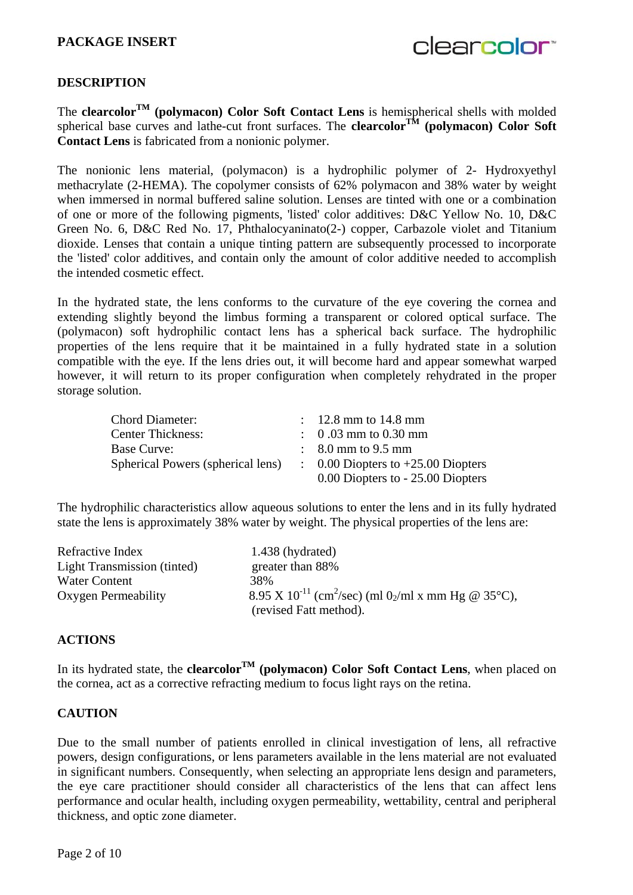clearcolor<sup>®</sup>

#### **DESCRIPTION**

The **clearcolor<sup>TM</sup>** (polymacon) Color Soft Contact Lens is hemispherical shells with molded spherical base curves and lathe-cut front surfaces. The **clearcolor<sup>TM</sup>** (polymacon) Color Soft **Contact Lens** is fabricated from a nonionic polymer.

The nonionic lens material, (polymacon) is a hydrophilic polymer of 2- Hydroxyethyl methacrylate (2-HEMA). The copolymer consists of 62% polymacon and 38% water by weight when immersed in normal buffered saline solution. Lenses are tinted with one or a combination of one or more of the following pigments, 'listed' color additives: D&C Yellow No. 10, D&C Green No. 6, D&C Red No. 17, Phthalocyaninato(2-) copper, Carbazole violet and Titanium dioxide. Lenses that contain a unique tinting pattern are subsequently processed to incorporate the 'listed' color additives, and contain only the amount of color additive needed to accomplish the intended cosmetic effect.

In the hydrated state, the lens conforms to the curvature of the eye covering the cornea and extending slightly beyond the limbus forming a transparent or colored optical surface. The (polymacon) soft hydrophilic contact lens has a spherical back surface. The hydrophilic properties of the lens require that it be maintained in a fully hydrated state in a solution compatible with the eye. If the lens dries out, it will become hard and appear somewhat warped however, it will return to its proper configuration when completely rehydrated in the proper storage solution.

| <b>Chord Diameter:</b>            | : $12.8 \text{ mm}$ to $14.8 \text{ mm}$      |
|-----------------------------------|-----------------------------------------------|
| <b>Center Thickness:</b>          | $\therefore$ 0.03 mm to 0.30 mm               |
| Base Curve:                       | $\therefore$ 8.0 mm to 9.5 mm                 |
| Spherical Powers (spherical lens) | $\therefore$ 0.00 Diopters to +25.00 Diopters |
|                                   | 0.00 Diopters to - 25.00 Diopters             |

The hydrophilic characteristics allow aqueous solutions to enter the lens and in its fully hydrated state the lens is approximately 38% water by weight. The physical properties of the lens are:

| Refractive Index                   | 1.438 (hydrated)                                                                        |
|------------------------------------|-----------------------------------------------------------------------------------------|
| <b>Light Transmission (tinted)</b> | greater than 88%                                                                        |
| <b>Water Content</b>               | 38%                                                                                     |
| Oxygen Permeability                | 8.95 X 10 <sup>-11</sup> (cm <sup>2</sup> /sec) (ml 0 <sub>2</sub> /ml x mm Hg @ 35°C), |
|                                    | (revised Fatt method).                                                                  |

#### **ACTIONS**

In its hydrated state, the **clearcolor<sup>TM</sup>** (polymacon) Color Soft Contact Lens, when placed on the cornea, act as a corrective refracting medium to focus light rays on the retina.

#### **CAUTION**

Due to the small number of patients enrolled in clinical investigation of lens, all refractive powers, design configurations, or lens parameters available in the lens material are not evaluated in significant numbers. Consequently, when selecting an appropriate lens design and parameters, the eye care practitioner should consider all characteristics of the lens that can affect lens performance and ocular health, including oxygen permeability, wettability, central and peripheral thickness, and optic zone diameter.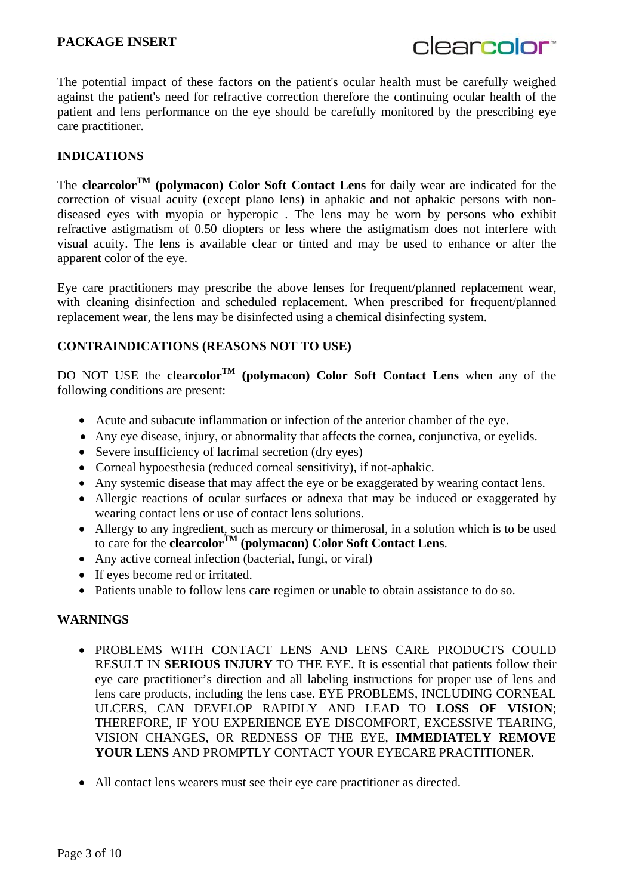clearcolor<sup>®</sup>

The potential impact of these factors on the patient's ocular health must be carefully weighed against the patient's need for refractive correction therefore the continuing ocular health of the patient and lens performance on the eye should be carefully monitored by the prescribing eye care practitioner.

#### **INDICATIONS**

The **clearcolor<sup>TM</sup>** (polymacon) Color Soft Contact Lens for daily wear are indicated for the correction of visual acuity (except plano lens) in aphakic and not aphakic persons with nondiseased eyes with myopia or hyperopic . The lens may be worn by persons who exhibit refractive astigmatism of 0.50 diopters or less where the astigmatism does not interfere with visual acuity. The lens is available clear or tinted and may be used to enhance or alter the apparent color of the eye.

Eye care practitioners may prescribe the above lenses for frequent/planned replacement wear, with cleaning disinfection and scheduled replacement. When prescribed for frequent/planned replacement wear, the lens may be disinfected using a chemical disinfecting system.

#### **CONTRAINDICATIONS (REASONS NOT TO USE)**

DO NOT USE the **clearcolorTM (polymacon) Color Soft Contact Lens** when any of the following conditions are present:

- Acute and subacute inflammation or infection of the anterior chamber of the eye.
- Any eye disease, injury, or abnormality that affects the cornea, conjunctiva, or eyelids.
- Severe insufficiency of lacrimal secretion (dry eyes)
- Corneal hypoesthesia (reduced corneal sensitivity), if not-aphakic.
- Any systemic disease that may affect the eye or be exaggerated by wearing contact lens.
- Allergic reactions of ocular surfaces or adnexa that may be induced or exaggerated by wearing contact lens or use of contact lens solutions.
- Allergy to any ingredient, such as mercury or thimerosal, in a solution which is to be used to care for the **clearcolorTM (polymacon) Color Soft Contact Lens**.
- Any active corneal infection (bacterial, fungi, or viral)
- If eyes become red or irritated.
- Patients unable to follow lens care regimen or unable to obtain assistance to do so.

#### **WARNINGS**

- PROBLEMS WITH CONTACT LENS AND LENS CARE PRODUCTS COULD RESULT IN **SERIOUS INJURY** TO THE EYE. It is essential that patients follow their eye care practitioner's direction and all labeling instructions for proper use of lens and lens care products, including the lens case. EYE PROBLEMS, INCLUDING CORNEAL ULCERS, CAN DEVELOP RAPIDLY AND LEAD TO **LOSS OF VISION**; THEREFORE, IF YOU EXPERIENCE EYE DISCOMFORT, EXCESSIVE TEARING, VISION CHANGES, OR REDNESS OF THE EYE, **IMMEDIATELY REMOVE YOUR LENS** AND PROMPTLY CONTACT YOUR EYECARE PRACTITIONER.
- All contact lens wearers must see their eye care practitioner as directed.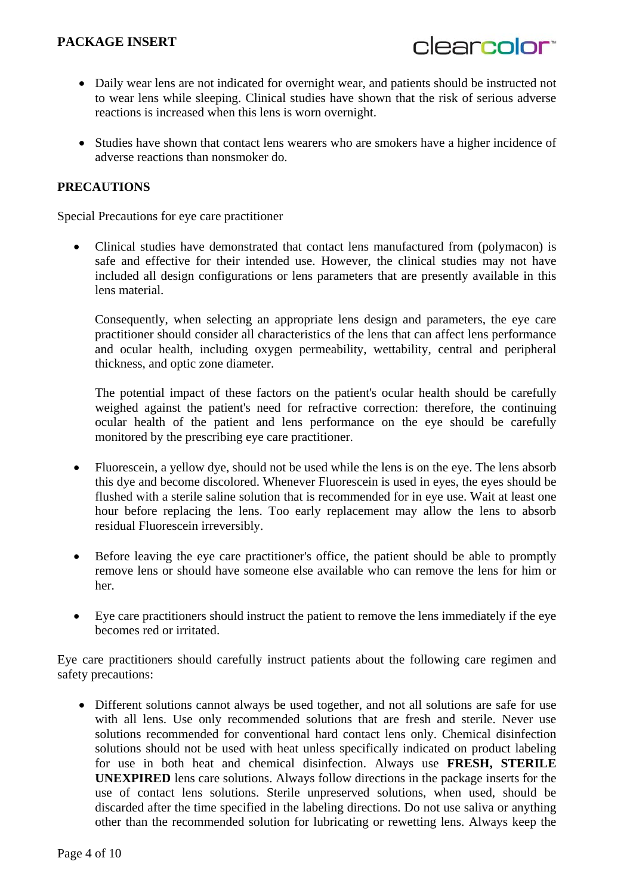- clearcolor<sup>®</sup>
- Daily wear lens are not indicated for overnight wear, and patients should be instructed not to wear lens while sleeping. Clinical studies have shown that the risk of serious adverse reactions is increased when this lens is worn overnight.
- Studies have shown that contact lens wearers who are smokers have a higher incidence of adverse reactions than nonsmoker do.

## **PRECAUTIONS**

Special Precautions for eye care practitioner

• Clinical studies have demonstrated that contact lens manufactured from (polymacon) is safe and effective for their intended use. However, the clinical studies may not have included all design configurations or lens parameters that are presently available in this lens material.

Consequently, when selecting an appropriate lens design and parameters, the eye care practitioner should consider all characteristics of the lens that can affect lens performance and ocular health, including oxygen permeability, wettability, central and peripheral thickness, and optic zone diameter.

The potential impact of these factors on the patient's ocular health should be carefully weighed against the patient's need for refractive correction: therefore, the continuing ocular health of the patient and lens performance on the eye should be carefully monitored by the prescribing eye care practitioner.

- Fluorescein, a yellow dye, should not be used while the lens is on the eye. The lens absorb this dye and become discolored. Whenever Fluorescein is used in eyes, the eyes should be flushed with a sterile saline solution that is recommended for in eye use. Wait at least one hour before replacing the lens. Too early replacement may allow the lens to absorb residual Fluorescein irreversibly.
- Before leaving the eye care practitioner's office, the patient should be able to promptly remove lens or should have someone else available who can remove the lens for him or her.
- Eye care practitioners should instruct the patient to remove the lens immediately if the eye becomes red or irritated.

Eye care practitioners should carefully instruct patients about the following care regimen and safety precautions:

 Different solutions cannot always be used together, and not all solutions are safe for use with all lens. Use only recommended solutions that are fresh and sterile. Never use solutions recommended for conventional hard contact lens only. Chemical disinfection solutions should not be used with heat unless specifically indicated on product labeling for use in both heat and chemical disinfection. Always use **FRESH, STERILE UNEXPIRED** lens care solutions. Always follow directions in the package inserts for the use of contact lens solutions. Sterile unpreserved solutions, when used, should be discarded after the time specified in the labeling directions. Do not use saliva or anything other than the recommended solution for lubricating or rewetting lens. Always keep the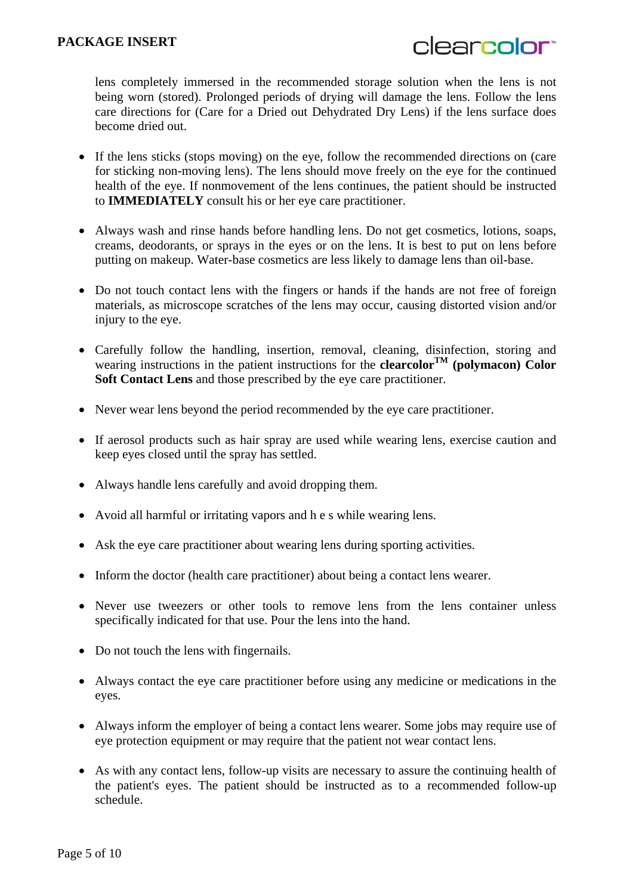lens completely immersed in the recommended storage solution when the lens is not being worn (stored). Prolonged periods of drying will damage the lens. Follow the lens care directions for (Care for a Dried out Dehydrated Dry Lens) if the lens surface does become dried out.

- If the lens sticks (stops moving) on the eye, follow the recommended directions on (care for sticking non-moving lens). The lens should move freely on the eye for the continued health of the eye. If nonmovement of the lens continues, the patient should be instructed to **IMMEDIATELY** consult his or her eye care practitioner.
- Always wash and rinse hands before handling lens. Do not get cosmetics, lotions, soaps, creams, deodorants, or sprays in the eyes or on the lens. It is best to put on lens before putting on makeup. Water-base cosmetics are less likely to damage lens than oil-base.
- Do not touch contact lens with the fingers or hands if the hands are not free of foreign materials, as microscope scratches of the lens may occur, causing distorted vision and/or injury to the eye.
- Carefully follow the handling, insertion, removal, cleaning, disinfection, storing and wearing instructions in the patient instructions for the **clearcolor**<sup>TM</sup> (polymacon) Color **Soft Contact Lens** and those prescribed by the eye care practitioner.
- Never wear lens beyond the period recommended by the eye care practitioner.
- If aerosol products such as hair spray are used while wearing lens, exercise caution and keep eyes closed until the spray has settled.
- Always handle lens carefully and avoid dropping them.
- Avoid all harmful or irritating vapors and h e s while wearing lens.
- Ask the eye care practitioner about wearing lens during sporting activities.
- Inform the doctor (health care practitioner) about being a contact lens wearer.
- Never use tweezers or other tools to remove lens from the lens container unless specifically indicated for that use. Pour the lens into the hand.
- Do not touch the lens with fingernails.
- Always contact the eye care practitioner before using any medicine or medications in the eyes.
- Always inform the employer of being a contact lens wearer. Some jobs may require use of eve protection equipment or may require that the patient not wear contact lens.
- As with any contact lens, follow-up visits are necessary to assure the continuing health of the patient's eyes. The patient should be instructed as to a recommended follow-up schedule.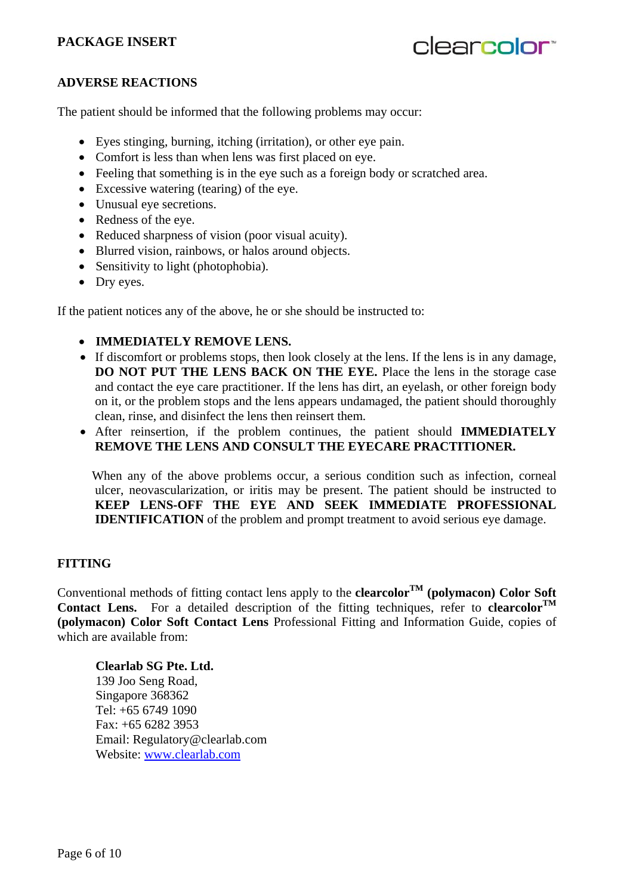# clearcolor<sup>®</sup>

#### **ADVERSE REACTIONS**

The patient should be informed that the following problems may occur:

- Eyes stinging, burning, itching (irritation), or other eye pain.
- Comfort is less than when lens was first placed on eye.
- Feeling that something is in the eye such as a foreign body or scratched area.
- Excessive watering (tearing) of the eye.
- Unusual eye secretions.
- Redness of the eye.
- Reduced sharpness of vision (poor visual acuity).
- Blurred vision, rainbows, or halos around objects.
- Sensitivity to light (photophobia).
- Dry eyes.

If the patient notices any of the above, he or she should be instructed to:

- **IMMEDIATELY REMOVE LENS.**
- If discomfort or problems stops, then look closely at the lens. If the lens is in any damage, **DO NOT PUT THE LENS BACK ON THE EYE.** Place the lens in the storage case and contact the eye care practitioner. If the lens has dirt, an eyelash, or other foreign body on it, or the problem stops and the lens appears undamaged, the patient should thoroughly clean, rinse, and disinfect the lens then reinsert them.
- After reinsertion, if the problem continues, the patient should **IMMEDIATELY REMOVE THE LENS AND CONSULT THE EYECARE PRACTITIONER.**

 When any of the above problems occur, a serious condition such as infection, corneal ulcer, neovascularization, or iritis may be present. The patient should be instructed to **KEEP LENS-OFF THE EYE AND SEEK IMMEDIATE PROFESSIONAL IDENTIFICATION** of the problem and prompt treatment to avoid serious eye damage.

#### **FITTING**

Conventional methods of fitting contact lens apply to the **clearcolor<sup>TM</sup>** (polymacon) Color Soft **Contact Lens.** For a detailed description of the fitting techniques, refer to **clearcolor**<sup>TM</sup> **(polymacon) Color Soft Contact Lens** Professional Fitting and Information Guide, copies of which are available from:

**Clearlab SG Pte. Ltd.**  139 Joo Seng Road, Singapore 368362 Tel: +65 6749 1090 Fax: +65 6282 3953 Email: Regulatory@clearlab.com Website: www.clearlab.com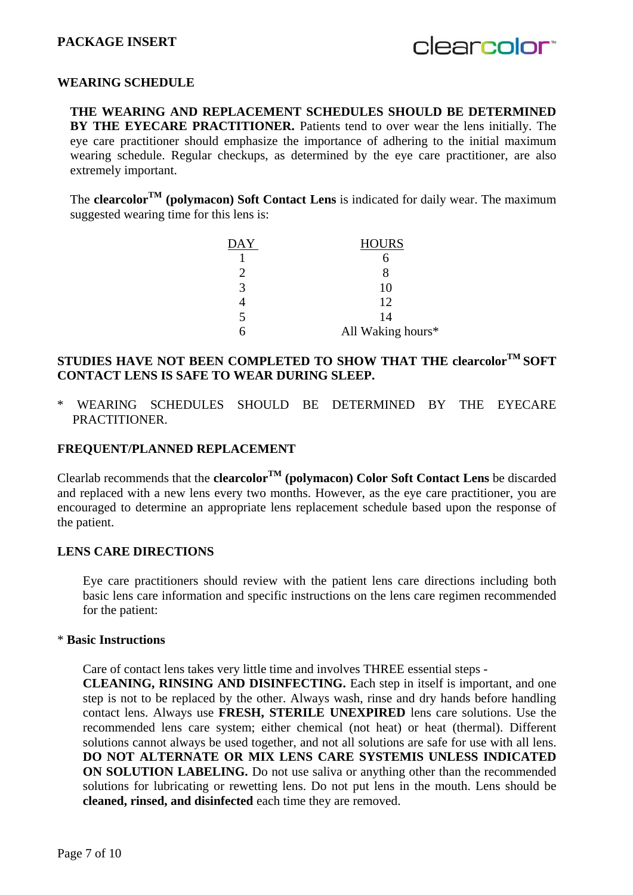clearcolor<sup>®</sup>

# **WEARING SCHEDULE**

**THE WEARING AND REPLACEMENT SCHEDULES SHOULD BE DETERMINED BY THE EYECARE PRACTITIONER.** Patients tend to over wear the lens initially. The eye care practitioner should emphasize the importance of adhering to the initial maximum wearing schedule. Regular checkups, as determined by the eye care practitioner, are also extremely important.

The **clearcolor<sup>TM</sup>** (polymacon) Soft Contact Lens is indicated for daily wear. The maximum suggested wearing time for this lens is:

| $\overline{\text{DAY}}$ | <b>HOURS</b>      |
|-------------------------|-------------------|
|                         |                   |
|                         |                   |
|                         |                   |
|                         | 12                |
|                         | 14                |
|                         | All Waking hours* |

# **STUDIES HAVE NOT BEEN COMPLETED TO SHOW THAT THE clearcolorTM SOFT CONTACT LENS IS SAFE TO WEAR DURING SLEEP.**

\* WEARING SCHEDULES SHOULD BE DETERMINED BY THE EYECARE PRACTITIONER.

#### **FREQUENT/PLANNED REPLACEMENT**

Clearlab recommends that the **clearcolorTM (polymacon) Color Soft Contact Lens** be discarded and replaced with a new lens every two months. However, as the eye care practitioner, you are encouraged to determine an appropriate lens replacement schedule based upon the response of the patient.

#### **LENS CARE DIRECTIONS**

Eye care practitioners should review with the patient lens care directions including both basic lens care information and specific instructions on the lens care regimen recommended for the patient:

#### \* **Basic Instructions**

Care of contact lens takes very little time and involves THREE essential steps -

**CLEANING, RINSING AND DISINFECTING.** Each step in itself is important, and one step is not to be replaced by the other. Always wash, rinse and dry hands before handling contact lens. Always use **FRESH, STERILE UNEXPIRED** lens care solutions. Use the recommended lens care system; either chemical (not heat) or heat (thermal). Different solutions cannot always be used together, and not all solutions are safe for use with all lens. **DO NOT ALTERNATE OR MIX LENS CARE SYSTEMIS UNLESS INDICATED ON SOLUTION LABELING.** Do not use saliva or anything other than the recommended solutions for lubricating or rewetting lens. Do not put lens in the mouth. Lens should be **cleaned, rinsed, and disinfected** each time they are removed.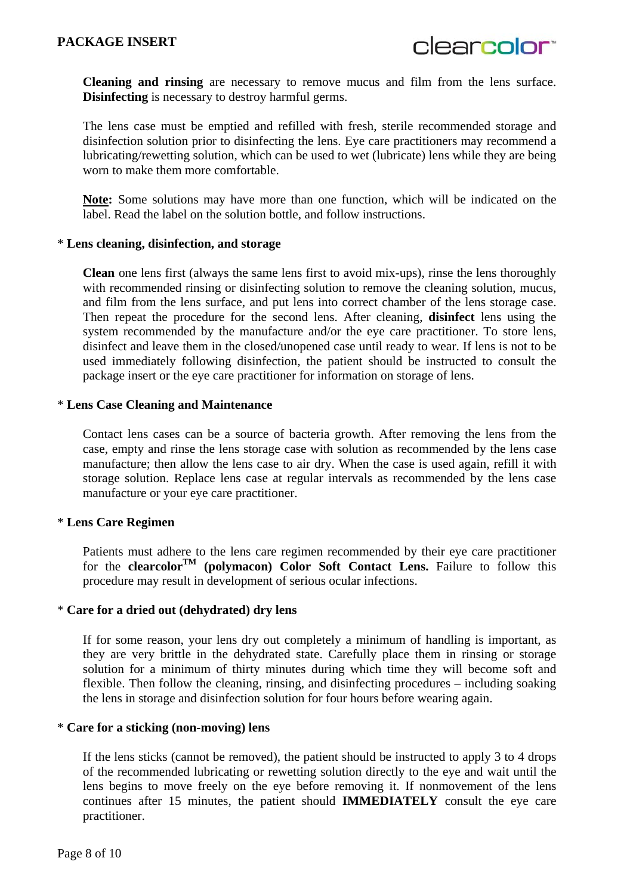**Cleaning and rinsing** are necessary to remove mucus and film from the lens surface. **Disinfecting** is necessary to destroy harmful germs.

The lens case must be emptied and refilled with fresh, sterile recommended storage and disinfection solution prior to disinfecting the lens. Eye care practitioners may recommend a lubricating/rewetting solution, which can be used to wet (lubricate) lens while they are being worn to make them more comfortable.

**Note:** Some solutions may have more than one function, which will be indicated on the label. Read the label on the solution bottle, and follow instructions.

#### \* **Lens cleaning, disinfection, and storage**

**Clean** one lens first (always the same lens first to avoid mix-ups), rinse the lens thoroughly with recommended rinsing or disinfecting solution to remove the cleaning solution, mucus, and film from the lens surface, and put lens into correct chamber of the lens storage case. Then repeat the procedure for the second lens. After cleaning, **disinfect** lens using the system recommended by the manufacture and/or the eye care practitioner. To store lens, disinfect and leave them in the closed/unopened case until ready to wear. If lens is not to be used immediately following disinfection, the patient should be instructed to consult the package insert or the eye care practitioner for information on storage of lens.

#### \* **Lens Case Cleaning and Maintenance**

Contact lens cases can be a source of bacteria growth. After removing the lens from the case, empty and rinse the lens storage case with solution as recommended by the lens case manufacture; then allow the lens case to air dry. When the case is used again, refill it with storage solution. Replace lens case at regular intervals as recommended by the lens case manufacture or your eye care practitioner.

#### \* **Lens Care Regimen**

Patients must adhere to the lens care regimen recommended by their eye care practitioner for the **clearcolor<sup>TM</sup>** (polymacon) Color Soft Contact Lens. Failure to follow this procedure may result in development of serious ocular infections.

#### \* **Care for a dried out (dehydrated) dry lens**

If for some reason, your lens dry out completely a minimum of handling is important, as they are very brittle in the dehydrated state. Carefully place them in rinsing or storage solution for a minimum of thirty minutes during which time they will become soft and flexible. Then follow the cleaning, rinsing, and disinfecting procedures – including soaking the lens in storage and disinfection solution for four hours before wearing again.

#### \* **Care for a sticking (non-moving) lens**

If the lens sticks (cannot be removed), the patient should be instructed to apply 3 to 4 drops of the recommended lubricating or rewetting solution directly to the eye and wait until the lens begins to move freely on the eye before removing it. If nonmovement of the lens continues after 15 minutes, the patient should **IMMEDIATELY** consult the eye care practitioner.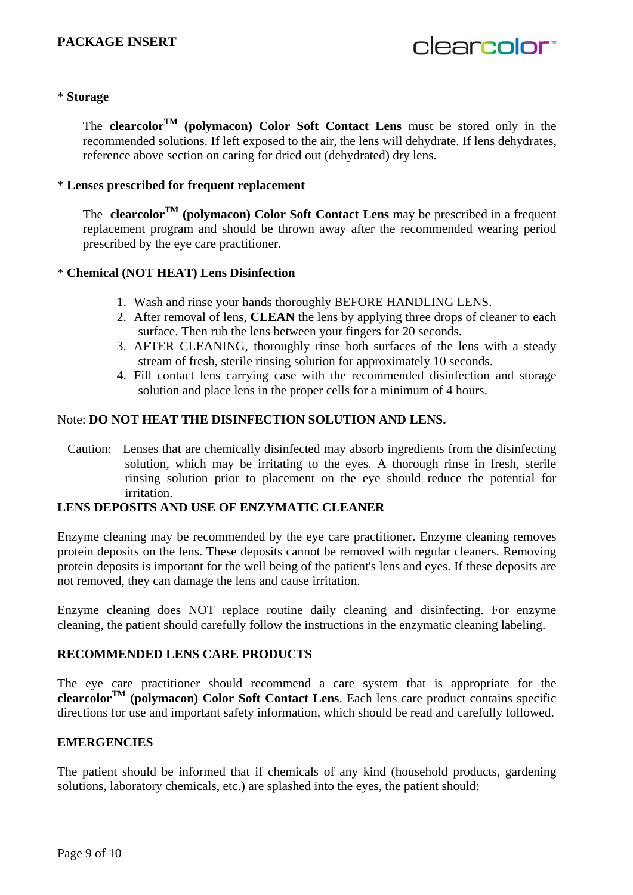clearcolor<sup>®</sup>

#### \* **Storage**

The **clearcolor<sup>TM</sup>** (polymacon) Color Soft Contact Lens must be stored only in the recommended solutions. If left exposed to the air, the lens will dehydrate. If lens dehydrates, reference above section on caring for dried out (dehydrated) dry lens.

#### \* **Lenses prescribed for frequent replacement**

The **clearcolorTM (polymacon) Color Soft Contact Lens** may be prescribed in a frequent replacement program and should be thrown away after the recommended wearing period prescribed by the eye care practitioner.

#### \* **Chemical (NOT HEAT) Lens Disinfection**

- 1. Wash and rinse your hands thoroughly BEFORE HANDLING LENS.
- 2. After removal of lens, **CLEAN** the lens by applying three drops of cleaner to each surface. Then rub the lens between your fingers for 20 seconds.
- 3. AFTER CLEANING, thoroughly rinse both surfaces of the lens with a steady stream of fresh, sterile rinsing solution for approximately 10 seconds.
- 4. Fill contact lens carrying case with the recommended disinfection and storage solution and place lens in the proper cells for a minimum of 4 hours.

#### Note: **DO NOT HEAT THE DISINFECTION SOLUTION AND LENS.**

Caution: Lenses that are chemically disinfected may absorb ingredients from the disinfecting solution, which may be irritating to the eyes. A thorough rinse in fresh, sterile rinsing solution prior to placement on the eye should reduce the potential for irritation.

#### **LENS DEPOSITS AND USE OF ENZYMATIC CLEANER**

Enzyme cleaning may be recommended by the eye care practitioner. Enzyme cleaning removes protein deposits on the lens. These deposits cannot be removed with regular cleaners. Removing protein deposits is important for the well being of the patient's lens and eyes. If these deposits are not removed, they can damage the lens and cause irritation.

Enzyme cleaning does NOT replace routine daily cleaning and disinfecting. For enzyme cleaning, the patient should carefully follow the instructions in the enzymatic cleaning labeling.

#### **RECOMMENDED LENS CARE PRODUCTS**

The eye care practitioner should recommend a care system that is appropriate for the **clearcolorTM (polymacon) Color Soft Contact Lens**. Each lens care product contains specific directions for use and important safety information, which should be read and carefully followed.

#### **EMERGENCIES**

The patient should be informed that if chemicals of any kind (household products, gardening solutions, laboratory chemicals, etc.) are splashed into the eyes, the patient should: